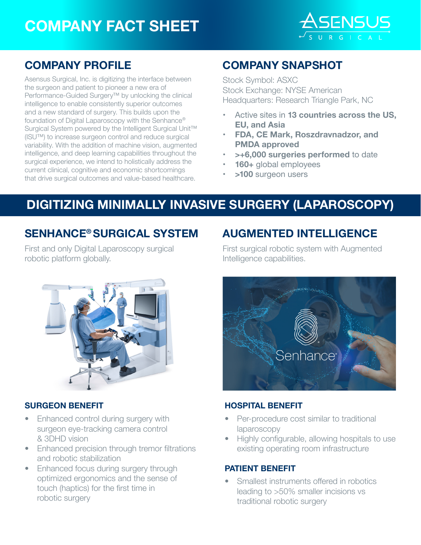# **COMPANY FACT SHEET**



### **COMPANY PROFILE**

Asensus Surgical, Inc. is digitizing the interface between the surgeon and patient to pioneer a new era of Performance-Guided Surgery™ by unlocking the clinical intelligence to enable consistently superior outcomes and a new standard of surgery. This builds upon the foundation of Digital Laparoscopy with the Senhance® Surgical System powered by the Intelligent Surgical Unit™ (ISU™) to increase surgeon control and reduce surgical variability. With the addition of machine vision, augmented intelligence, and deep learning capabilities throughout the surgical experience, we intend to holistically address the current clinical, cognitive and economic shortcomings that drive surgical outcomes and value-based healthcare.

### **COMPANY SNAPSHOT**

Stock Symbol: ASXC Stock Exchange: NYSE American Headquarters: Research Triangle Park, NC

- Active sites in **13 countries across the US, EU, and Asia**
- **• FDA, CE Mark, Roszdravnadzor, and PMDA approved**
- **• >+6,000 surgeries performed** to date
- **• 160+** global employees
- **• >100** surgeon users

## **DIGITIZING MINIMALLY INVASIVE SURGERY (LAPAROSCOPY)**

### **SENHANCE® SURGICAL SYSTEM**

First and only Digital Laparoscopy surgical robotic platform globally.



#### **SURGEON BENEFIT**

- Enhanced control during surgery with surgeon eye-tracking camera control & 3DHD vision
- Enhanced precision through tremor filtrations and robotic stabilization
- Enhanced focus during surgery through optimized ergonomics and the sense of touch (haptics) for the first time in robotic surgery

### **AUGMENTED INTELLIGENCE**

First surgical robotic system with Augmented Intelligence capabilities.



#### **HOSPITAL BENEFIT**

- Per-procedure cost similar to traditional laparoscopy
- Highly configurable, allowing hospitals to use existing operating room infrastructure

#### **PATIENT BENEFIT**

• Smallest instruments offered in robotics leading to >50% smaller incisions vs traditional robotic surgery